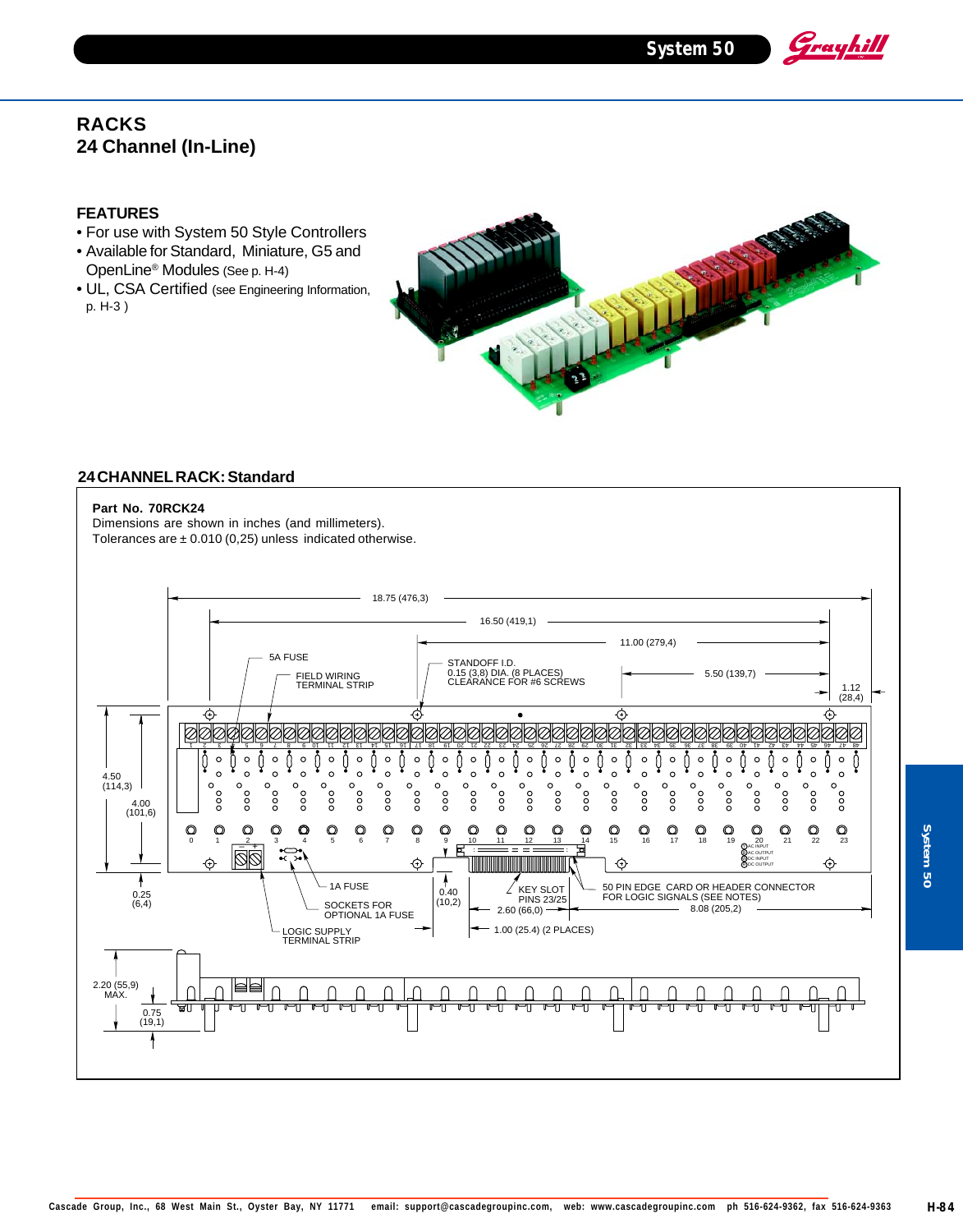**System 50**

Grayhill

# **RACKS 24 Channel (In-Line)**

### **FEATURES**

- For use with System 50 Style Controllers
- Available for Standard, Miniature, G5 and OpenLine® Modules (See p. H-4)
- UL, CSA Certified (see Engineering Information, p. H-3 )



#### **24 CHANNEL RACK: Standard**

### **Part No. 70RCK24**

Dimensions are shown in inches (and millimeters). Tolerances are  $\pm$  0.010 (0,25) unless indicated otherwise.



System 50 **System 50**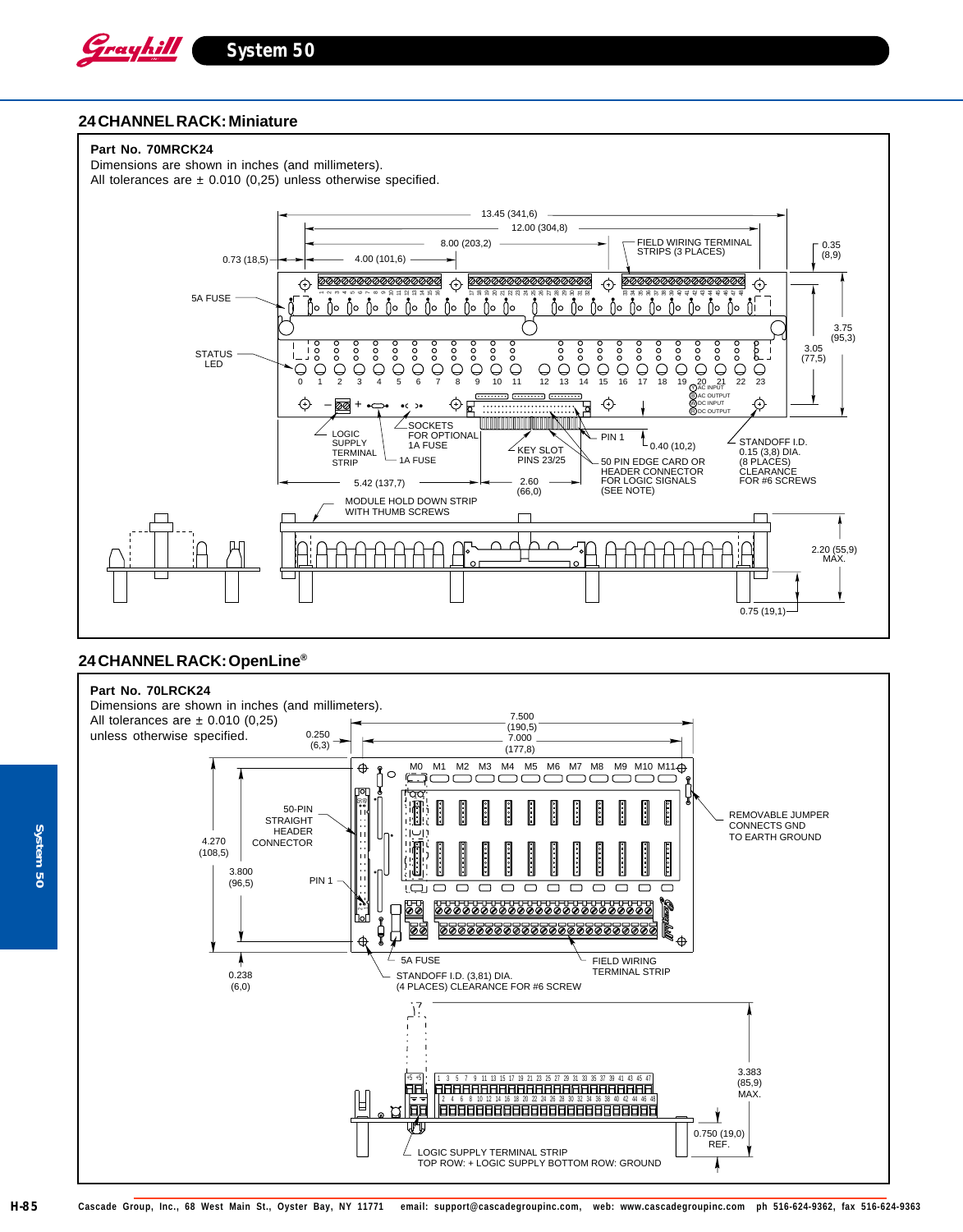

#### **24 CHANNEL RACK: Miniature**



### **24 CHANNEL RACK: OpenLine®**

### **Part No. 70LRCK24**



**System 50**

g

System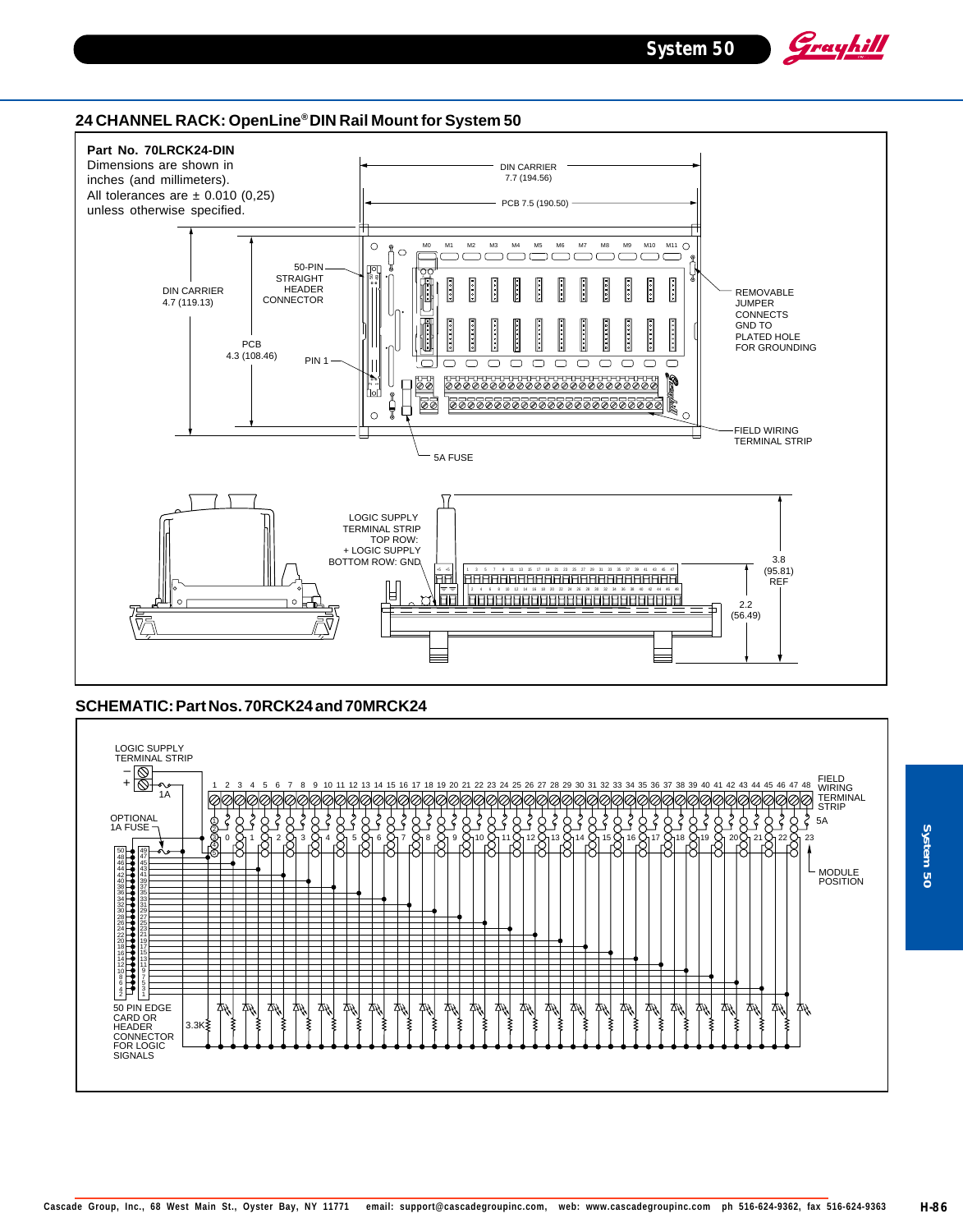Grayhill

#### **24 CHANNEL RACK: OpenLine® DIN Rail Mount for System 50**



#### **SCHEMATIC: Part Nos. 70RCK24 and 70MRCK24**



System 50 **System 50**